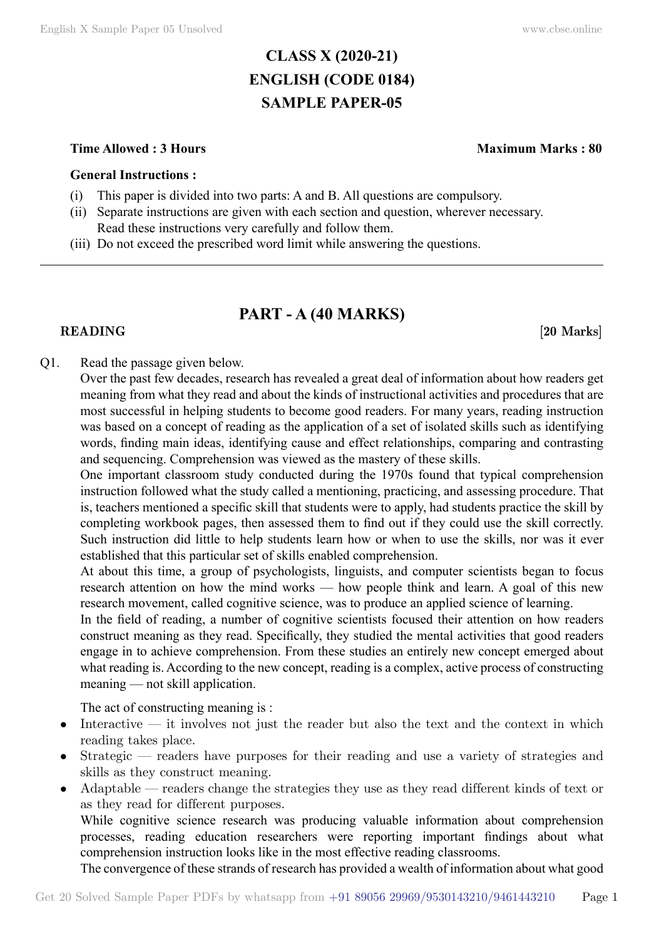# **CLASS X (2020-21) ENGLISH (CODE 0184) SAMPLE PAPER-05**

## **Time Allowed : 3 Hours Maximum Marks : 80**

## **General Instructions :**

- (i) This paper is divided into two parts: A and B. All questions are compulsory.
- (ii) Separate instructions are given with each section and question, wherever necessary. Read these instructions very carefully and follow them.
- (iii) Do not exceed the prescribed word limit while answering the questions.

# **PART - A (40 Marks)**

## **READING** [20 Marks]

# Q1. Read the passage given below.

Over the past few decades, research has revealed a great deal of information about how readers get meaning from what they read and about the kinds of instructional activities and procedures that are most successful in helping students to become good readers. For many years, reading instruction was based on a concept of reading as the application of a set of isolated skills such as identifying words, finding main ideas, identifying cause and effect relationships, comparing and contrasting and sequencing. Comprehension was viewed as the mastery of these skills.

One important classroom study conducted during the 1970s found that typical comprehension instruction followed what the study called a mentioning, practicing, and assessing procedure. That is, teachers mentioned a specific skill that students were to apply, had students practice the skill by completing workbook pages, then assessed them to find out if they could use the skill correctly. Such instruction did little to help students learn how or when to use the skills, nor was it ever established that this particular set of skills enabled comprehension.

At about this time, a group of psychologists, linguists, and computer scientists began to focus research attention on how the mind works — how people think and learn. A goal of this new research movement, called cognitive science, was to produce an applied science of learning.

In the field of reading, a number of cognitive scientists focused their attention on how readers construct meaning as they read. Specifically, they studied the mental activities that good readers engage in to achieve comprehension. From these studies an entirely new concept emerged about what reading is. According to the new concept, reading is a complex, active process of constructing meaning — not skill application.

The act of constructing meaning is :

- Interactive it involves not just the reader but also the text and the context in which reading takes place.
- Strategic readers have purposes for their reading and use a variety of strategies and skills as they construct meaning.
- Adaptable readers change the strategies they use as they read different kinds of text or as they read for different purposes.

While cognitive science research was producing valuable information about comprehension processes, reading education researchers were reporting important findings about what comprehension instruction looks like in the most effective reading classrooms.

The convergence of these strands of research has provided a wealth of information about what good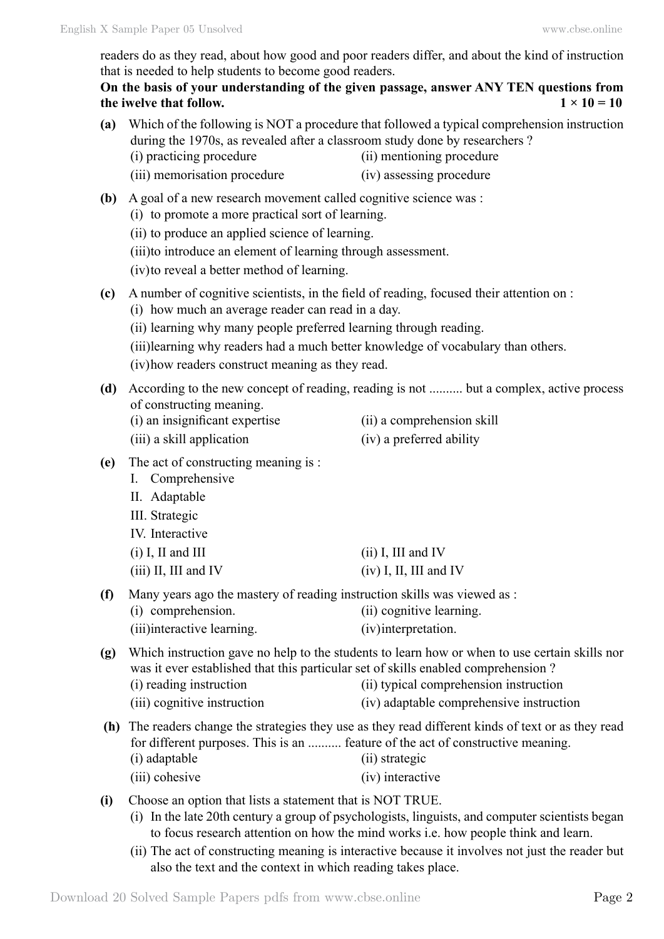readers do as they read, about how good and poor readers differ, and about the kind of instruction that is needed to help students to become good readers.

**On the basis of your understanding of the given passage, answer ANY TEN questions from the iwelve that follow.**  $1 \times 10 = 10$ 

| (a) | during the 1970s, as revealed after a classroom study done by researchers ?<br>(i) practicing procedure                                                                                                                                                                                                                                                    | Which of the following is NOT a procedure that followed a typical comprehension instruction<br>(ii) mentioning procedure                                                            |  |
|-----|------------------------------------------------------------------------------------------------------------------------------------------------------------------------------------------------------------------------------------------------------------------------------------------------------------------------------------------------------------|-------------------------------------------------------------------------------------------------------------------------------------------------------------------------------------|--|
|     | (iii) memorisation procedure                                                                                                                                                                                                                                                                                                                               | (iv) assessing procedure                                                                                                                                                            |  |
| (b) | A goal of a new research movement called cognitive science was :<br>(i) to promote a more practical sort of learning.<br>(ii) to produce an applied science of learning.<br>(iii)to introduce an element of learning through assessment.<br>(iv) to reveal a better method of learning.                                                                    |                                                                                                                                                                                     |  |
| (c) | A number of cognitive scientists, in the field of reading, focused their attention on :<br>(i) how much an average reader can read in a day.<br>(ii) learning why many people preferred learning through reading.<br>(iii) learning why readers had a much better knowledge of vocabulary than others.<br>(iv) how readers construct meaning as they read. |                                                                                                                                                                                     |  |
| (d) | of constructing meaning.<br>(i) an insignificant expertise<br>(iii) a skill application                                                                                                                                                                                                                                                                    | According to the new concept of reading, reading is not  but a complex, active process<br>(ii) a comprehension skill<br>(iv) a preferred ability                                    |  |
| (e) | The act of constructing meaning is :<br>I. Comprehensive<br>II. Adaptable<br>III. Strategic<br>IV. Interactive                                                                                                                                                                                                                                             |                                                                                                                                                                                     |  |
|     | $(i)$ I, II and III<br>$(iii)$ II, III and IV                                                                                                                                                                                                                                                                                                              | $(ii)$ I, III and IV<br>$(iv)$ I, II, III and IV                                                                                                                                    |  |
| (f) | Many years ago the mastery of reading instruction skills was viewed as :<br>(i) comprehension.<br>(iii)interactive learning.                                                                                                                                                                                                                               | (ii) cognitive learning.<br>(iv) interpretation.                                                                                                                                    |  |
| (g) | was it ever established that this particular set of skills enabled comprehension?<br>(i) reading instruction<br>(iii) cognitive instruction                                                                                                                                                                                                                | Which instruction gave no help to the students to learn how or when to use certain skills nor<br>(ii) typical comprehension instruction<br>(iv) adaptable comprehensive instruction |  |
|     | for different purposes. This is an  feature of the act of constructive meaning.<br>(i) adaptable<br>(iii) cohesive                                                                                                                                                                                                                                         | (h) The readers change the strategies they use as they read different kinds of text or as they read<br>(ii) strategic<br>(iv) interactive                                           |  |
| (i) | Choose an option that lists a statement that is NOT TRUE.                                                                                                                                                                                                                                                                                                  | (i) In the late 20th century a group of psychologists linguists and computer scientists began                                                                                       |  |

- (i) In the late 20th century a group of psychologists, linguists, and computer scientists began to focus research attention on how the mind works i.e. how people think and learn.
- (ii) The act of constructing meaning is interactive because it involves not just the reader but also the text and the context in which reading takes place.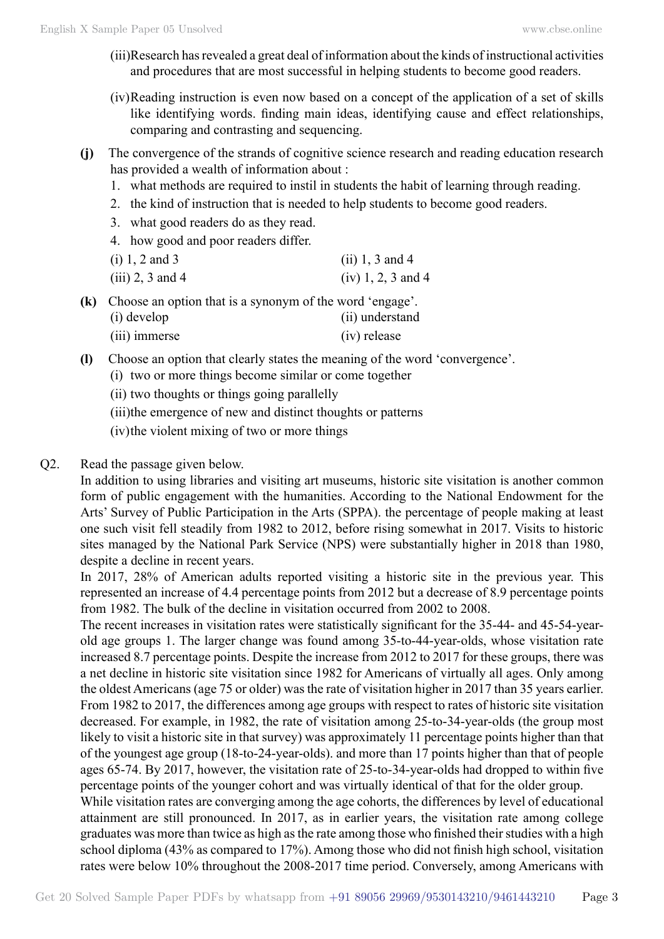- (iii)Research has revealed a great deal of information about the kinds of instructional activities and procedures that are most successful in helping students to become good readers.
- (iv)Reading instruction is even now based on a concept of the application of a set of skills like identifying words. finding main ideas, identifying cause and effect relationships, comparing and contrasting and sequencing.
- **(j)** The convergence of the strands of cognitive science research and reading education research has provided a wealth of information about :
	- 1. what methods are required to instil in students the habit of learning through reading.
	- 2. the kind of instruction that is needed to help students to become good readers.
	- 3. what good readers do as they read.
	- 4. how good and poor readers differ.

| $(i) 1, 2$ and 3   | (ii) 1, 3 and 4      |
|--------------------|----------------------|
| $(iii)$ 2, 3 and 4 | $(iv) 1, 2, 3$ and 4 |

**(k)** Choose an option that is a synonym of the word 'engage'. (i) develop (ii) understand (iii) immerse (iv) release

- **(l)** Choose an option that clearly states the meaning of the word 'convergence'.
	- (i) two or more things become similar or come together
	- (ii) two thoughts or things going parallelly
	- (iii)the emergence of new and distinct thoughts or patterns
	- (iv)the violent mixing of two or more things

# Q2. Read the passage given below.

In addition to using libraries and visiting art museums, historic site visitation is another common form of public engagement with the humanities. According to the National Endowment for the Arts' Survey of Public Participation in the Arts (SPPA). the percentage of people making at least one such visit fell steadily from 1982 to 2012, before rising somewhat in 2017. Visits to historic sites managed by the National Park Service (NPS) were substantially higher in 2018 than 1980, despite a decline in recent years.

In 2017, 28% of American adults reported visiting a historic site in the previous year. This represented an increase of 4.4 percentage points from 2012 but a decrease of 8.9 percentage points from 1982. The bulk of the decline in visitation occurred from 2002 to 2008.

The recent increases in visitation rates were statistically significant for the 35-44- and 45-54-yearold age groups 1. The larger change was found among 35-to-44-year-olds, whose visitation rate increased 8.7 percentage points. Despite the increase from 2012 to 2017 for these groups, there was a net decline in historic site visitation since 1982 for Americans of virtually all ages. Only among the oldest Americans (age 75 or older) was the rate of visitation higher in 2017 than 35 years earlier. From 1982 to 2017, the differences among age groups with respect to rates of historic site visitation decreased. For example, in 1982, the rate of visitation among 25-to-34-year-olds (the group most likely to visit a historic site in that survey) was approximately 11 percentage points higher than that of the youngest age group (18-to-24-year-olds). and more than 17 points higher than that of people ages 65-74. By 2017, however, the visitation rate of 25-to-34-year-olds had dropped to within five percentage points of the younger cohort and was virtually identical of that for the older group.

While visitation rates are converging among the age cohorts, the differences by level of educational attainment are still pronounced. In 2017, as in earlier years, the visitation rate among college graduates was more than twice as high as the rate among those who finished their studies with a high school diploma (43% as compared to 17%). Among those who did not finish high school, visitation rates were below 10% throughout the 2008-2017 time period. Conversely, among Americans with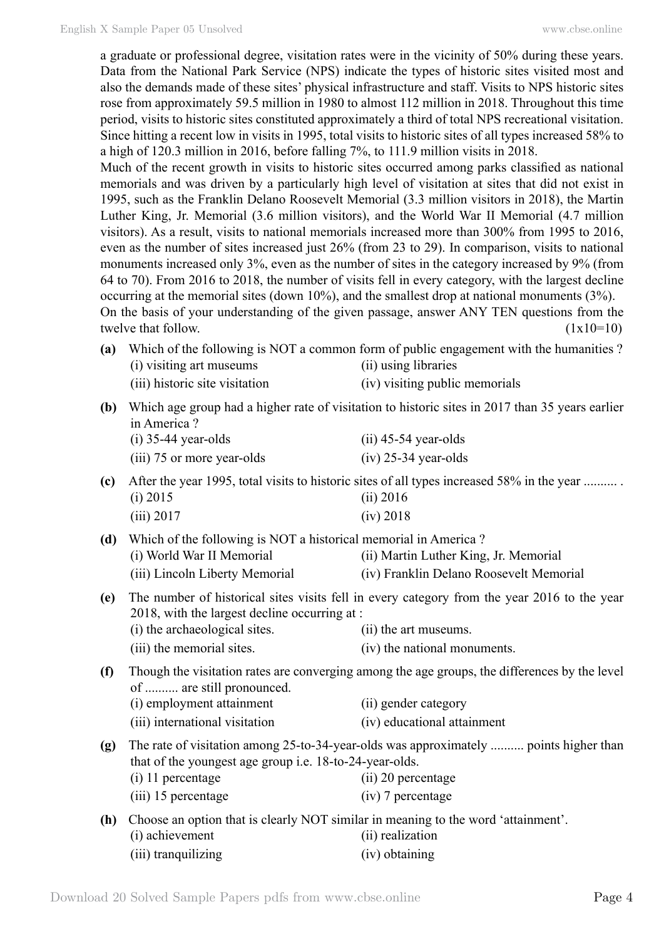a graduate or professional degree, visitation rates were in the vicinity of 50% during these years. Data from the National Park Service (NPS) indicate the types of historic sites visited most and also the demands made of these sites' physical infrastructure and staff. Visits to NPS historic sites rose from approximately 59.5 million in 1980 to almost 112 million in 2018. Throughout this time period, visits to historic sites constituted approximately a third of total NPS recreational visitation. Since hitting a recent low in visits in 1995, total visits to historic sites of all types increased 58% to a high of 120.3 million in 2016, before falling 7%, to 111.9 million visits in 2018. Much of the recent growth in visits to historic sites occurred among parks classified as national memorials and was driven by a particularly high level of visitation at sites that did not exist in 1995, such as the Franklin Delano Roosevelt Memorial (3.3 million visitors in 2018), the Martin Luther King, Jr. Memorial (3.6 million visitors), and the World War II Memorial (4.7 million visitors). As a result, visits to national memorials increased more than 300% from 1995 to 2016, even as the number of sites increased just 26% (from 23 to 29). In comparison, visits to national monuments increased only 3%, even as the number of sites in the category increased by 9% (from 64 to 70). From 2016 to 2018, the number of visits fell in every category, with the largest decline occurring at the memorial sites (down 10%), and the smallest drop at national monuments (3%). On the basis of your understanding of the given passage, answer ANY TEN questions from the twelve that follow.  $(1x10=10)$ 

- **(a)** Which of the following is NOT a common form of public engagement with the humanities ? (i) visiting art museums (ii) using libraries (iii) historic site visitation (iv) visiting public memorials
- **(b)** Which age group had a higher rate of visitation to historic sites in 2017 than 35 years earlier in America ?

| $(i)$ 35-44 year-olds      | $(ii)$ 45-54 year-olds |
|----------------------------|------------------------|
| (iii) 75 or more year-olds | $(iv)$ 25-34 year-olds |

- **(c)** After the year 1995, total visits to historic sites of all types increased 58% in the year .......... . (i) 2015 (ii) 2016 (iii) 2017 (iv) 2018
- **(d)** Which of the following is NOT a historical memorial in America ? (i) World War II Memorial (ii) Martin Luther King, Jr. Memorial (iii) Lincoln Liberty Memorial (iv) Franklin Delano Roosevelt Memorial
- **(e)** The number of historical sites visits fell in every category from the year 2016 to the year 2018, with the largest decline occurring at : (i) the archaeological sites. (ii) the art museums.
	- (iii) the memorial sites. (iv) the national monuments.
- **(f)** Though the visitation rates are converging among the age groups, the differences by the level of .......... are still pronounced. (i) employment attainment (ii) gender category
	- (iii) international visitation (iv) educational attainment
- **(g)** The rate of visitation among 25-to-34-year-olds was approximately .......... points higher than that of the youngest age group i.e. 18-to-24-year-olds. (i) 11 percentage (ii) 20 percentage (iii) 15 percentage (iv) 7 percentage
- **(h)** Choose an option that is clearly NOT similar in meaning to the word 'attainment'. (i) achievement (ii) realization (iii) tranquilizing (iv) obtaining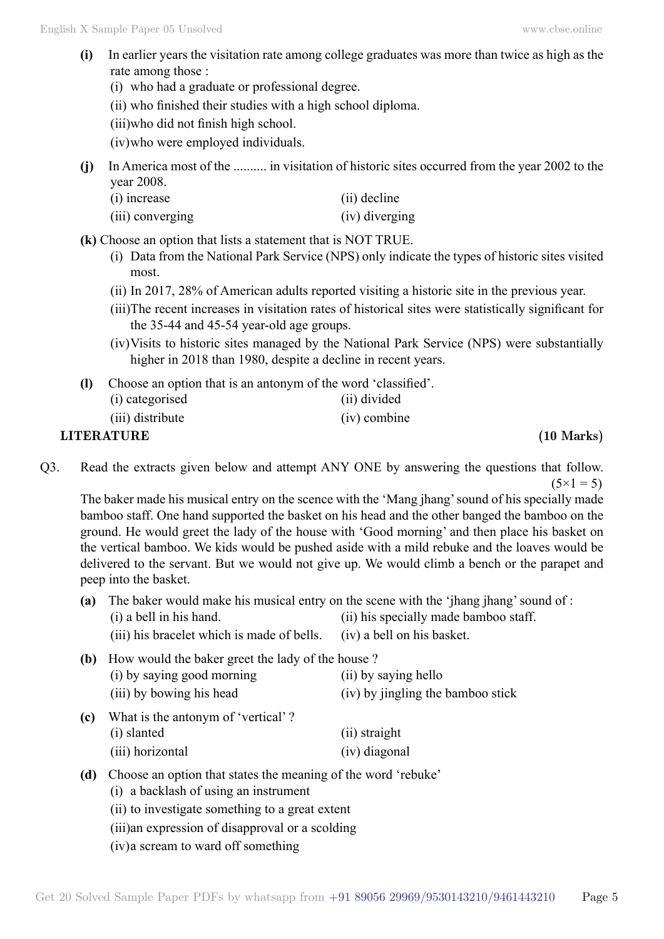- **(i)** In earlier years the visitation rate among college graduates was more than twice as high as the rate among those :
	- (i) who had a graduate or professional degree.
	- (ii) who finished their studies with a high school diploma.

(iii)who did not finish high school.

(iv)who were employed individuals.

**(j)** In America most of the .......... in visitation of historic sites occurred from the year 2002 to the year 2008.

| $(i)$ increase   | (ii) decline   |
|------------------|----------------|
| (iii) converging | (iv) diverging |

**(k)** Choose an option that lists a statement that is NOT TRUE.

- (i) Data from the National Park Service (NPS) only indicate the types of historic sites visited most.
- (ii) In 2017, 28% of American adults reported visiting a historic site in the previous year.
- (iii)The recent increases in visitation rates of historical sites were statistically significant for the 35-44 and 45-54 year-old age groups.
- (iv)Visits to historic sites managed by the National Park Service (NPS) were substantially higher in 2018 than 1980, despite a decline in recent years.
- **(l)** Choose an option that is an antonym of the word 'classified'.

| <b>LITERATURE</b> |                | $(10 \text{ Marks})$ |
|-------------------|----------------|----------------------|
| (iii) distribute  | $(iv)$ combine |                      |
| (i) categorised   | (ii) divided   |                      |

Q3. Read the extracts given below and attempt ANY ONE by answering the questions that follow.  $(5 \times 1 = 5)$ 

The baker made his musical entry on the scence with the 'Mang jhang' sound of his specially made bamboo staff. One hand supported the basket on his head and the other banged the bamboo on the ground. He would greet the lady of the house with 'Good morning' and then place his basket on the vertical bamboo. We kids would be pushed aside with a mild rebuke and the loaves would be delivered to the servant. But we would not give up. We would climb a bench or the parapet and peep into the basket.

- **(a)** The baker would make his musical entry on the scene with the 'jhang jhang' sound of :
	- (i) a bell in his hand. (ii) his specially made bamboo staff.
	- (iii) his bracelet which is made of bells. (iv) a bell on his basket.
- **(b)** How would the baker greet the lady of the house ? (i) by saying good morning (ii) by saying hello (iii) by bowing his head (iv) by jingling the bamboo stick
- **(c)** What is the antonym of 'vertical' ? (i) slanted (ii) straight (iii) horizontal (iv) diagonal
- **(d)** Choose an option that states the meaning of the word 'rebuke'
	- (i) a backlash of using an instrument
	- (ii) to investigate something to a great extent
	- (iii)an expression of disapproval or a scolding
	- (iv)a scream to ward off something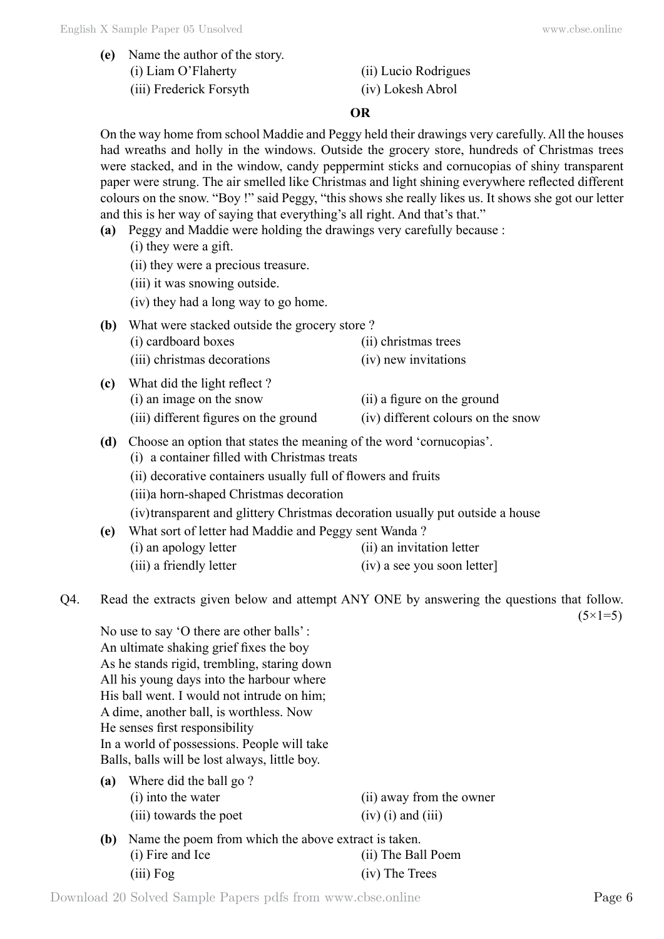## **O**

On the way home from school Maddie and Peggy held their drawings very carefully. All the houses had wreaths and holly in the windows. Outside the grocery store, hundreds of Christmas trees were stacked, and in the window, candy peppermint sticks and cornucopias of shiny transparent paper were strung. The air smelled like Christmas and light shining everywhere reflected different colours on the snow. "Boy !" said Peggy, "this shows she really likes us. It shows she got our letter and this is her way of saying that everything's all right. And that's that."

- **(a)** Peggy and Maddie were holding the drawings very carefully because :
	- (i) they were a gift.
	- (ii) they were a precious treasure.
	- (iii) it was snowing outside.
	- (iv) they had a long way to go home.

| What were stacked outside the grocery store?<br>(b) |                             |                             |  |
|-----------------------------------------------------|-----------------------------|-----------------------------|--|
|                                                     | (i) cardboard boxes         | (ii) christmas trees        |  |
|                                                     | (iii) christmas decorations | (iv) new invitations        |  |
| (c)                                                 | What did the light reflect? |                             |  |
|                                                     | (i) an image on the snow    | (ii) a figure on the ground |  |

- (iii) different figures on the ground (iv) different colours on the snow
- **(d)** Choose an option that states the meaning of the word 'cornucopias'.
	- (i) a container filled with Christmas treats
	- (ii) decorative containers usually full of flowers and fruits
	- (iii)a horn-shaped Christmas decoration

(iv)transparent and glittery Christmas decoration usually put outside a house

**(e)** What sort of letter had Maddie and Peggy sent Wanda ? (i) an apology letter (ii) an invitation letter (iii) a friendly letter (iv) a see you soon letter

Q4. Read the extracts given below and attempt ANY ONE by answering the questions that follow.  $(5 \times 1 = 5)$ 

No use to say 'O there are other balls' : An ultimate shaking grief fixes the boy As he stands rigid, trembling, staring down All his young days into the harbour where His ball went. I would not intrude on him: A dime, another ball, is worthless. Now He senses first responsibility In a world of possessions. People will take Balls, balls will be lost always, little boy.

- **(a)** Where did the ball go ? (i) into the water (ii) away from the owner (iii) towards the poet  $(iv)$  (i) and (iii)
- **(b)** Name the poem from which the above extract is taken. (i) Fire and Ice (ii) The Ball Poem (iii) Fog (iv) The Trees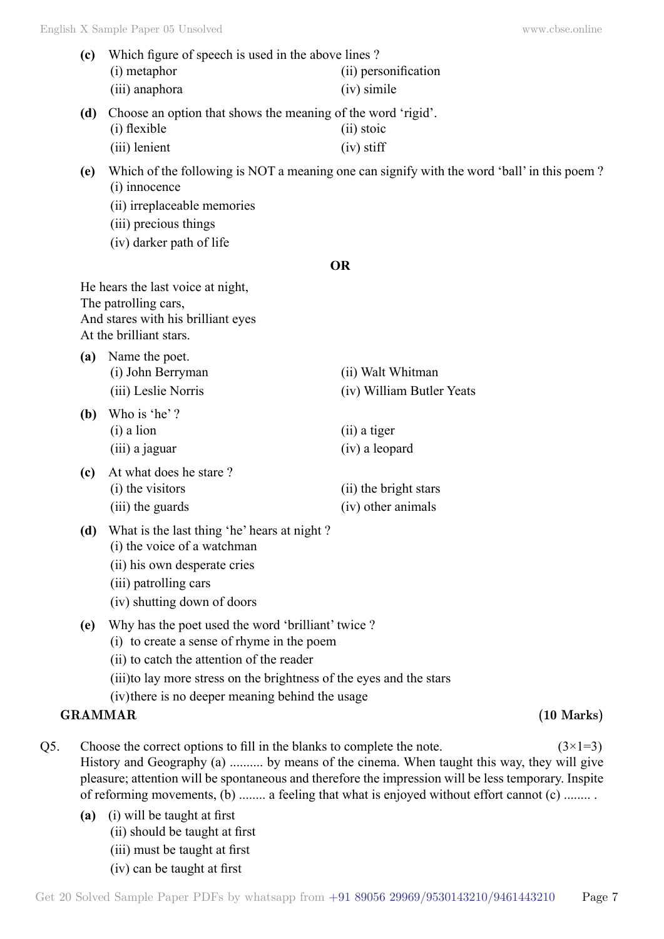- **(c)** Which figure of speech is used in the above lines ? (i) metaphor (ii) personification (iii) anaphora (iv) simile **(d)** Choose an option that shows the meaning of the word 'rigid'. (i) flexible (ii) stoic (iii) lenient (iv) stiff **(e)** Which of the following is NOT a meaning one can signify with the word 'ball' in this poem ? (i) innocence (ii) irreplaceable memories (iii) precious things (iv) darker path of life  **O** He hears the last voice at night, The patrolling cars, And stares with his brilliant eyes At the brilliant stars. **(a)** Name the poet. (i) John Berryman (ii) Walt Whitman (iii) Leslie Norris (iv) William Butler Yeats **(b)** Who is 'he' ? (i) a lion (ii) a tiger (iii) a jaguar (iv) a leopard **(c)** At what does he stare ? (i) the visitors (ii) the bright stars (iii) the guards (iv) other animals **(d)** What is the last thing 'he' hears at night ? (i) the voice of a watchman (ii) his own desperate cries (iii) patrolling cars (iv) shutting down of doors **(e)** Why has the poet used the word 'brilliant' twice ? (i) to create a sense of rhyme in the poem (ii) to catch the attention of the reader (iii)to lay more stress on the brightness of the eyes and the stars (iv)there is no deeper meaning behind the usage **GRAMMAR (10 Marks)** Q5. Choose the correct options to fill in the blanks to complete the note.  $(3\times1=3)$ History and Geography (a) .......... by means of the cinema. When taught this way, they will give pleasure; attention will be spontaneous and therefore the impression will be less temporary. Inspite of reforming movements, (b) ........ a feeling that what is enjoyed without effort cannot (c) ........ .
	- **(a)** (i) will be taught at first (ii) should be taught at first (iii) must be taught at first (iv) can be taught at first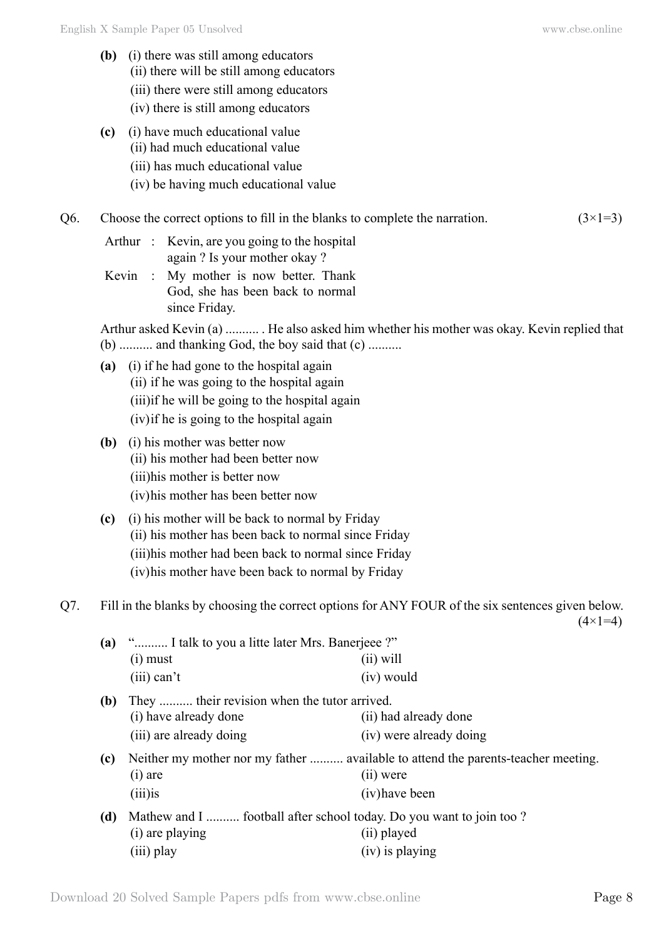- **(b)** (i) there was still among educators (ii) there will be still among educators
	- (iii) there were still among educators
	- (iv) there is still among educators
- **(c)** (i) have much educational value
	- (ii) had much educational value
	- (iii) has much educational value
	- (iv) be having much educational value
- Q6. Choose the correct options to fill in the blanks to complete the narration.  $(3\times1=3)$ 
	- Arthur : Kevin, are you going to the hospital again ? Is your mother okay ?
	- Kevin : My mother is now better. Thank God, she has been back to normal since Friday.

Arthur asked Kevin (a) .......... . He also asked him whether his mother was okay. Kevin replied that (b) .......... and thanking God, the boy said that (c) ..........

- **(a)** (i) if he had gone to the hospital again (ii) if he was going to the hospital again (iii)if he will be going to the hospital again (iv)if he is going to the hospital again
- **(b)** (i) his mother was better now (ii) his mother had been better now (iii)his mother is better now (iv)his mother has been better now
- **(c)** (i) his mother will be back to normal by Friday (ii) his mother has been back to normal since Friday (iii)his mother had been back to normal since Friday (iv)his mother have been back to normal by Friday

Q7. Fill in the blanks by choosing the correct options for ANY FOUR of the six sentences given below.  $(4 \times 1=4)$ 

| (a) | " I talk to you a litte later Mrs. Banerjeee ?"<br>$(i)$ must                                        | $(ii)$ will                                                                                                        |
|-----|------------------------------------------------------------------------------------------------------|--------------------------------------------------------------------------------------------------------------------|
|     | $(iii)$ can't                                                                                        | (iv) would                                                                                                         |
| (b) | They  their revision when the tutor arrived.<br>(i) have already done<br>(iii) are already doing     | (ii) had already done<br>(iv) were already doing                                                                   |
| (c) | $(i)$ are<br>$(iii)$ is                                                                              | Neither my mother nor my father  available to attend the parents-teacher meeting.<br>$(ii)$ were<br>(iv) have been |
| (d) | Mathew and I  football after school today. Do you want to join too?<br>(i) are playing<br>(iii) play | (ii) played<br>$(iv)$ is playing                                                                                   |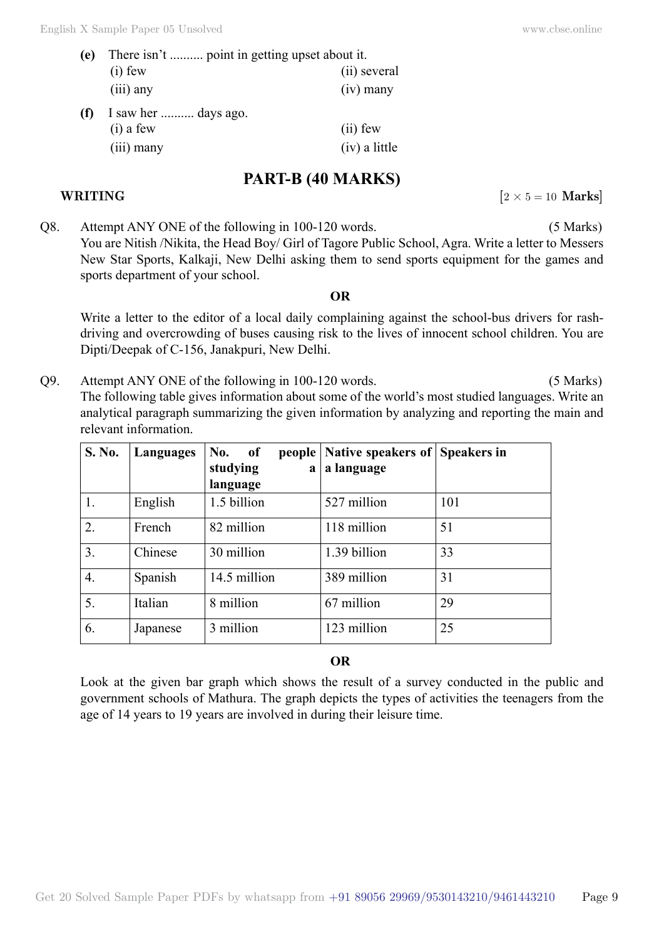| (e) | There isn't  point in getting upset about it. |              |  |
|-----|-----------------------------------------------|--------------|--|
|     | $(i)$ few                                     | (ii) several |  |
|     | $(iii)$ any                                   | $(iv)$ many  |  |
| (f) | I saw her  days ago.<br>$(i)$ a few           | $(ii)$ few   |  |
|     |                                               |              |  |

(iii) many (iv) a little

# **PART-B (40 Marks)**

# **WRITING**  $[2 \times 5 = 10 \text{ Marks}]$

Q8. Attempt ANY ONE of the following in 100-120 words. (5 Marks) You are Nitish /Nikita, the Head Boy/ Girl of Tagore Public School, Agra. Write a letter to Messers New Star Sports, Kalkaji, New Delhi asking them to send sports equipment for the games and sports department of your school.

### **O**

Write a letter to the editor of a local daily complaining against the school-bus drivers for rashdriving and overcrowding of buses causing risk to the lives of innocent school children. You are Dipti/Deepak of C-156, Janakpuri, New Delhi.

Q9. Attempt ANY ONE of the following in 100-120 words. (5 Marks) The following table gives information about some of the world's most studied languages. Write an analytical paragraph summarizing the given information by analyzing and reporting the main and relevant information.

| S. No. | Languages | No.<br>of<br>people<br>studying<br>$\mathbf a$ | Native speakers of<br>a language | <b>Speakers in</b> |
|--------|-----------|------------------------------------------------|----------------------------------|--------------------|
|        |           | language                                       |                                  |                    |
| 1.     | English   | 1.5 billion                                    | 527 million                      | 101                |
| 2.     | French    | 82 million                                     | 118 million                      | 51                 |
| 3.     | Chinese   | 30 million                                     | 1.39 billion                     | 33                 |
| 4.     | Spanish   | 14.5 million                                   | 389 million                      | 31                 |
| 5.     | Italian   | 8 million                                      | 67 million                       | 29                 |
| 6.     | Japanese  | 3 million                                      | 123 million                      | 25                 |

### **O**

Look at the given bar graph which shows the result of a survey conducted in the public and government schools of Mathura. The graph depicts the types of activities the teenagers from the age of 14 years to 19 years are involved in during their leisure time.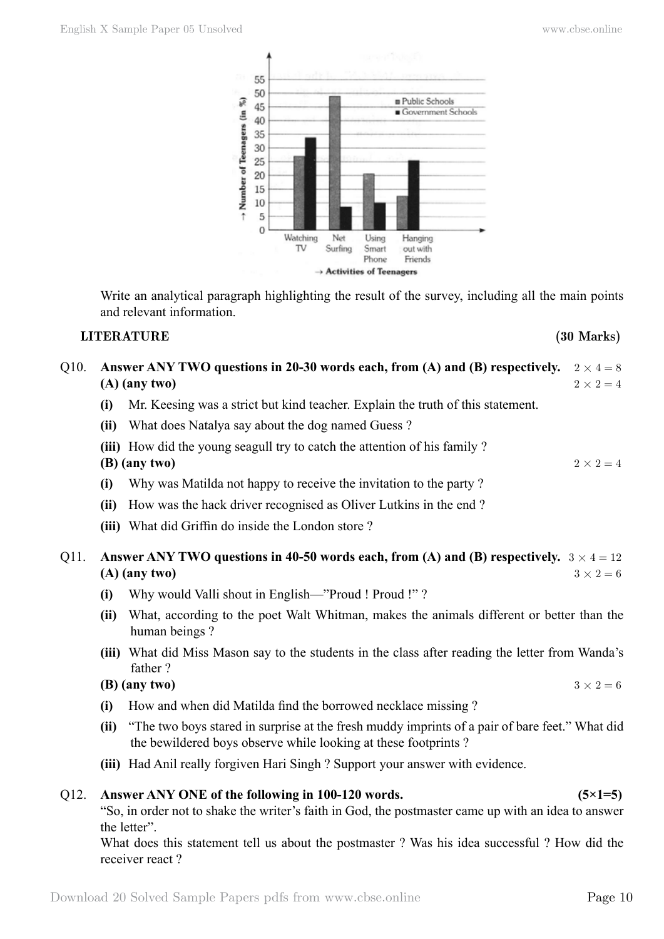

Write an analytical paragraph highlighting the result of the survey, including all the main points and relevant information.

# **LITERATURE (30 Marks)**

- Q10. Answer ANY TWO questions in 20-30 words each, from (A) and (B) respectively.  $2 \times 4 = 8$ **(A) (any two)**  $2 \times 2 = 4$ 
	- **(i)** Mr. Keesing was a strict but kind teacher. Explain the truth of this statement.
	- **(ii)** What does Natalya say about the dog named Guess ?
	- **(iii)** How did the young seagull try to catch the attention of his family ?

# **(B) (any two)**  $2 \times 2 = 4$

- **(i)** Why was Matilda not happy to receive the invitation to the party ?
- **(ii)** How was the hack driver recognised as Oliver Lutkins in the end ?
- **(iii)** What did Griffin do inside the London store ?
- Q11. Answer ANY TWO questions in 40-50 words each, from (A) and (B) respectively.  $3 \times 4 = 12$ **(A) (any two)**  $3 \times 2 = 6$ 
	- **(i)** Why would Valli shout in English—"Proud ! Proud !" ?
	- **(ii)** What, according to the poet Walt Whitman, makes the animals different or better than the human beings ?
	- **(iii)** What did Miss Mason say to the students in the class after reading the letter from Wanda's father ?

## **(B) (any two)**  $3 \times 2 = 6$

- **(i)** How and when did Matilda find the borrowed necklace missing ?
- **(ii)** "The two boys stared in surprise at the fresh muddy imprints of a pair of bare feet." What did the bewildered boys observe while looking at these footprints ?
- **(iii)** Had Anil really forgiven Hari Singh ? Support your answer with evidence.

# Q12. **Answer ANY ONE of the following in 100-120 words. (5×1=5)**

"So, in order not to shake the writer's faith in God, the postmaster came up with an idea to answer the letter".

What does this statement tell us about the postmaster ? Was his idea successful ? How did the receiver react ?